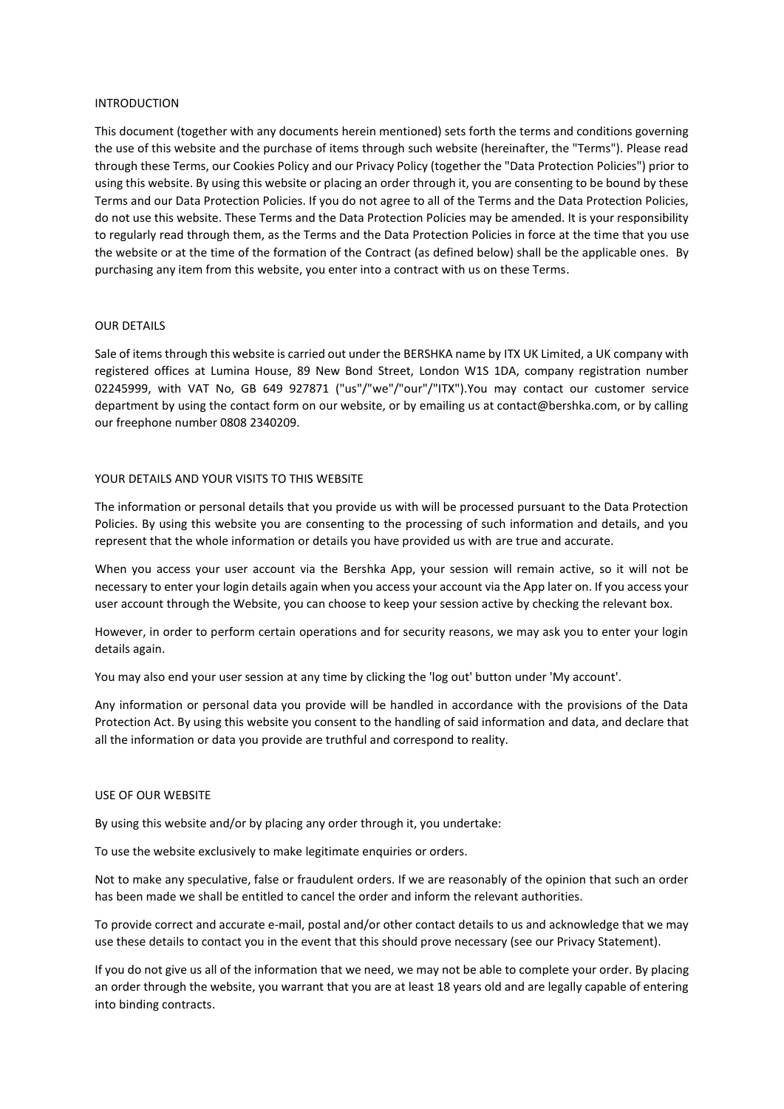#### INTRODUCTION

This document (together with any documents herein mentioned) sets forth the terms and conditions governing the use of this website and the purchase of items through such website (hereinafter, the "Terms"). Please read through these Terms, our Cookies Policy and our Privacy Policy (together the "Data Protection Policies") prior to using this website. By using this website or placing an order through it, you are consenting to be bound by these Terms and our Data Protection Policies. If you do not agree to all of the Terms and the Data Protection Policies, do not use this website. These Terms and the Data Protection Policies may be amended. It is your responsibility to regularly read through them, as the Terms and the Data Protection Policies in force at the time that you use the website or at the time of the formation of the Contract (as defined below) shall be the applicable ones. By purchasing any item from this website, you enter into a contract with us on these Terms.

# OUR DETAILS

Sale of items through this website is carried out under the BERSHKA name by ITX UK Limited, a UK company with registered offices at Lumina House, 89 New Bond Street, London W1S 1DA, company registration number 02245999, with VAT No, GB 649 927871 ("us"/"we"/"our"/"ITX").You may contact our customer service department by using the contact form on our website, or by emailing us at contact@bershka.com, or by calling our freephone number 0808 2340209.

#### YOUR DETAILS AND YOUR VISITS TO THIS WEBSITE

The information or personal details that you provide us with will be processed pursuant to the Data Protection Policies. By using this website you are consenting to the processing of such information and details, and you represent that the whole information or details you have provided us with are true and accurate.

When you access your user account via the Bershka App, your session will remain active, so it will not be necessary to enter your login details again when you access your account via the App later on. If you access your user account through the Website, you can choose to keep your session active by checking the relevant box.

However, in order to perform certain operations and for security reasons, we may ask you to enter your login details again.

You may also end your user session at any time by clicking the 'log out' button under 'My account'.

Any information or personal data you provide will be handled in accordance with the provisions of the Data Protection Act. By using this website you consent to the handling of said information and data, and declare that all the information or data you provide are truthful and correspond to reality.

#### USE OF OUR WEBSITE

By using this website and/or by placing any order through it, you undertake:

To use the website exclusively to make legitimate enquiries or orders.

Not to make any speculative, false or fraudulent orders. If we are reasonably of the opinion that such an order has been made we shall be entitled to cancel the order and inform the relevant authorities.

To provide correct and accurate e-mail, postal and/or other contact details to us and acknowledge that we may use these details to contact you in the event that this should prove necessary (see our Privacy Statement).

If you do not give us all of the information that we need, we may not be able to complete your order. By placing an order through the website, you warrant that you are at least 18 years old and are legally capable of entering into binding contracts.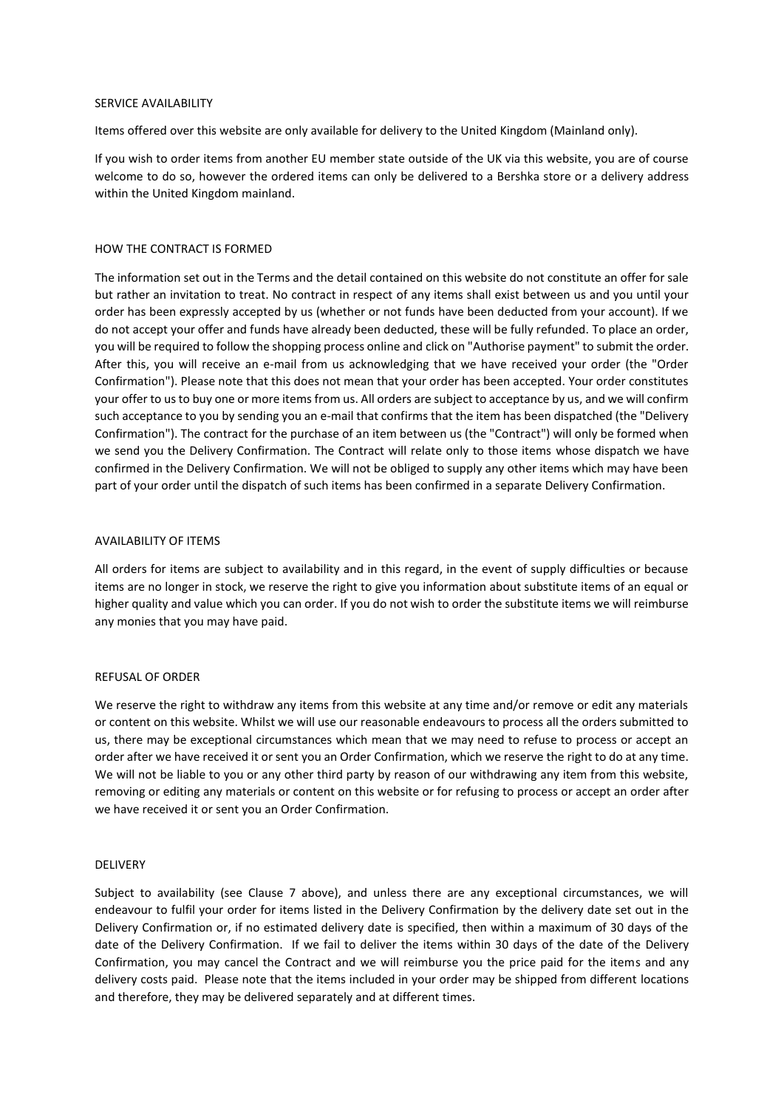#### SERVICE AVAILABILITY

Items offered over this website are only available for delivery to the United Kingdom (Mainland only).

If you wish to order items from another EU member state outside of the UK via this website, you are of course welcome to do so, however the ordered items can only be delivered to a Bershka store or a delivery address within the United Kingdom mainland.

#### HOW THE CONTRACT IS FORMED

The information set out in the Terms and the detail contained on this website do not constitute an offer for sale but rather an invitation to treat. No contract in respect of any items shall exist between us and you until your order has been expressly accepted by us (whether or not funds have been deducted from your account). If we do not accept your offer and funds have already been deducted, these will be fully refunded. To place an order, you will be required to follow the shopping process online and click on "Authorise payment" to submit the order. After this, you will receive an e-mail from us acknowledging that we have received your order (the "Order Confirmation"). Please note that this does not mean that your order has been accepted. Your order constitutes your offer to us to buy one or more items from us. All orders are subject to acceptance by us, and we will confirm such acceptance to you by sending you an e-mail that confirms that the item has been dispatched (the "Delivery Confirmation"). The contract for the purchase of an item between us (the "Contract") will only be formed when we send you the Delivery Confirmation. The Contract will relate only to those items whose dispatch we have confirmed in the Delivery Confirmation. We will not be obliged to supply any other items which may have been part of your order until the dispatch of such items has been confirmed in a separate Delivery Confirmation.

## AVAILABILITY OF ITEMS

All orders for items are subject to availability and in this regard, in the event of supply difficulties or because items are no longer in stock, we reserve the right to give you information about substitute items of an equal or higher quality and value which you can order. If you do not wish to order the substitute items we will reimburse any monies that you may have paid.

#### REFUSAL OF ORDER

We reserve the right to withdraw any items from this website at any time and/or remove or edit any materials or content on this website. Whilst we will use our reasonable endeavours to process all the orders submitted to us, there may be exceptional circumstances which mean that we may need to refuse to process or accept an order after we have received it or sent you an Order Confirmation, which we reserve the right to do at any time. We will not be liable to you or any other third party by reason of our withdrawing any item from this website, removing or editing any materials or content on this website or for refusing to process or accept an order after we have received it or sent you an Order Confirmation.

#### DELIVERY

Subject to availability (see Clause 7 above), and unless there are any exceptional circumstances, we will endeavour to fulfil your order for items listed in the Delivery Confirmation by the delivery date set out in the Delivery Confirmation or, if no estimated delivery date is specified, then within a maximum of 30 days of the date of the Delivery Confirmation. If we fail to deliver the items within 30 days of the date of the Delivery Confirmation, you may cancel the Contract and we will reimburse you the price paid for the items and any delivery costs paid. Please note that the items included in your order may be shipped from different locations and therefore, they may be delivered separately and at different times.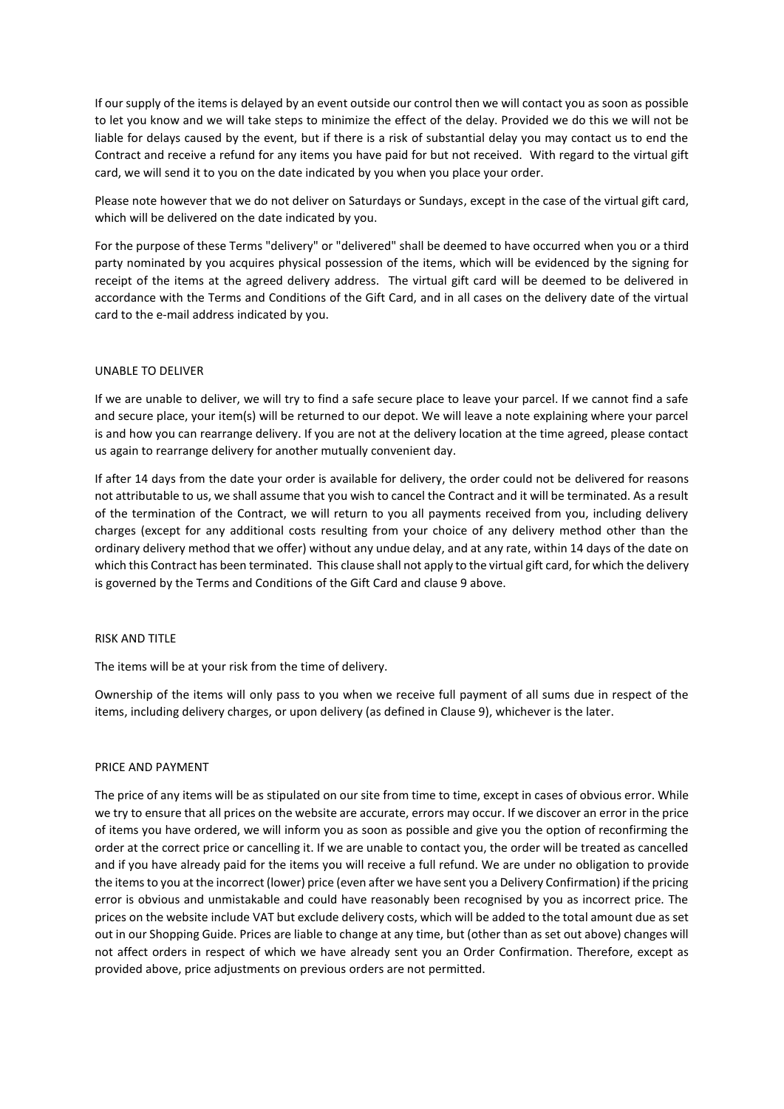If our supply of the items is delayed by an event outside our control then we will contact you as soon as possible to let you know and we will take steps to minimize the effect of the delay. Provided we do this we will not be liable for delays caused by the event, but if there is a risk of substantial delay you may contact us to end the Contract and receive a refund for any items you have paid for but not received. With regard to the virtual gift card, we will send it to you on the date indicated by you when you place your order.

Please note however that we do not deliver on Saturdays or Sundays, except in the case of the virtual gift card, which will be delivered on the date indicated by you.

For the purpose of these Terms "delivery" or "delivered" shall be deemed to have occurred when you or a third party nominated by you acquires physical possession of the items, which will be evidenced by the signing for receipt of the items at the agreed delivery address. The virtual gift card will be deemed to be delivered in accordance with the Terms and Conditions of the Gift Card, and in all cases on the delivery date of the virtual card to the e-mail address indicated by you.

### UNABLE TO DELIVER

If we are unable to deliver, we will try to find a safe secure place to leave your parcel. If we cannot find a safe and secure place, your item(s) will be returned to our depot. We will leave a note explaining where your parcel is and how you can rearrange delivery. If you are not at the delivery location at the time agreed, please contact us again to rearrange delivery for another mutually convenient day.

If after 14 days from the date your order is available for delivery, the order could not be delivered for reasons not attributable to us, we shall assume that you wish to cancel the Contract and it will be terminated. As a result of the termination of the Contract, we will return to you all payments received from you, including delivery charges (except for any additional costs resulting from your choice of any delivery method other than the ordinary delivery method that we offer) without any undue delay, and at any rate, within 14 days of the date on which this Contract has been terminated. This clause shall not apply to the virtual gift card, for which the delivery is governed by the Terms and Conditions of the Gift Card and clause 9 above.

#### RISK AND TITLE

The items will be at your risk from the time of delivery.

Ownership of the items will only pass to you when we receive full payment of all sums due in respect of the items, including delivery charges, or upon delivery (as defined in Clause 9), whichever is the later.

#### PRICE AND PAYMENT

The price of any items will be as stipulated on our site from time to time, except in cases of obvious error. While we try to ensure that all prices on the website are accurate, errors may occur. If we discover an error in the price of items you have ordered, we will inform you as soon as possible and give you the option of reconfirming the order at the correct price or cancelling it. If we are unable to contact you, the order will be treated as cancelled and if you have already paid for the items you will receive a full refund. We are under no obligation to provide the items to you at the incorrect (lower) price (even after we have sent you a Delivery Confirmation) if the pricing error is obvious and unmistakable and could have reasonably been recognised by you as incorrect price. The prices on the website include VAT but exclude delivery costs, which will be added to the total amount due as set out in our Shopping Guide. Prices are liable to change at any time, but (other than as set out above) changes will not affect orders in respect of which we have already sent you an Order Confirmation. Therefore, except as provided above, price adjustments on previous orders are not permitted.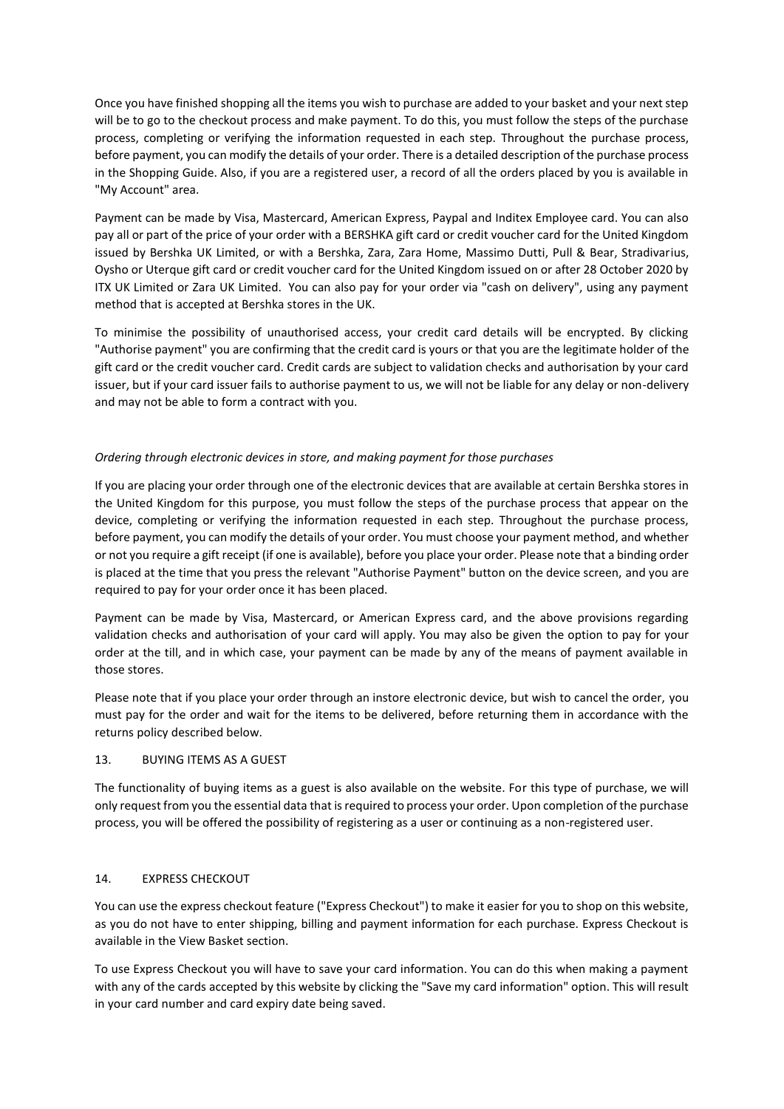Once you have finished shopping all the items you wish to purchase are added to your basket and your next step will be to go to the checkout process and make payment. To do this, you must follow the steps of the purchase process, completing or verifying the information requested in each step. Throughout the purchase process, before payment, you can modify the details of your order. There is a detailed description of the purchase process in the Shopping Guide. Also, if you are a registered user, a record of all the orders placed by you is available in "My Account" area.

Payment can be made by Visa, Mastercard, American Express, Paypal and Inditex Employee card. You can also pay all or part of the price of your order with a BERSHKA gift card or credit voucher card for the United Kingdom issued by Bershka UK Limited, or with a Bershka, Zara, Zara Home, Massimo Dutti, Pull & Bear, Stradivarius, Oysho or Uterque gift card or credit voucher card for the United Kingdom issued on or after 28 October 2020 by ITX UK Limited or Zara UK Limited. You can also pay for your order via "cash on delivery", using any payment method that is accepted at Bershka stores in the UK.

To minimise the possibility of unauthorised access, your credit card details will be encrypted. By clicking "Authorise payment" you are confirming that the credit card is yours or that you are the legitimate holder of the gift card or the credit voucher card. Credit cards are subject to validation checks and authorisation by your card issuer, but if your card issuer fails to authorise payment to us, we will not be liable for any delay or non-delivery and may not be able to form a contract with you.

# *Ordering through electronic devices in store, and making payment for those purchases*

If you are placing your order through one of the electronic devices that are available at certain Bershka stores in the United Kingdom for this purpose, you must follow the steps of the purchase process that appear on the device, completing or verifying the information requested in each step. Throughout the purchase process, before payment, you can modify the details of your order. You must choose your payment method, and whether or not you require a gift receipt (if one is available), before you place your order. Please note that a binding order is placed at the time that you press the relevant "Authorise Payment" button on the device screen, and you are required to pay for your order once it has been placed.

Payment can be made by Visa, Mastercard, or American Express card, and the above provisions regarding validation checks and authorisation of your card will apply. You may also be given the option to pay for your order at the till, and in which case, your payment can be made by any of the means of payment available in those stores.

Please note that if you place your order through an instore electronic device, but wish to cancel the order, you must pay for the order and wait for the items to be delivered, before returning them in accordance with the returns policy described below.

# 13. BUYING ITEMS AS A GUEST

The functionality of buying items as a guest is also available on the website. For this type of purchase, we will only request from you the essential data that is required to process your order. Upon completion of the purchase process, you will be offered the possibility of registering as a user or continuing as a non-registered user.

# 14. EXPRESS CHECKOUT

You can use the express checkout feature ("Express Checkout") to make it easier for you to shop on this website, as you do not have to enter shipping, billing and payment information for each purchase. Express Checkout is available in the View Basket section.

To use Express Checkout you will have to save your card information. You can do this when making a payment with any of the cards accepted by this website by clicking the "Save my card information" option. This will result in your card number and card expiry date being saved.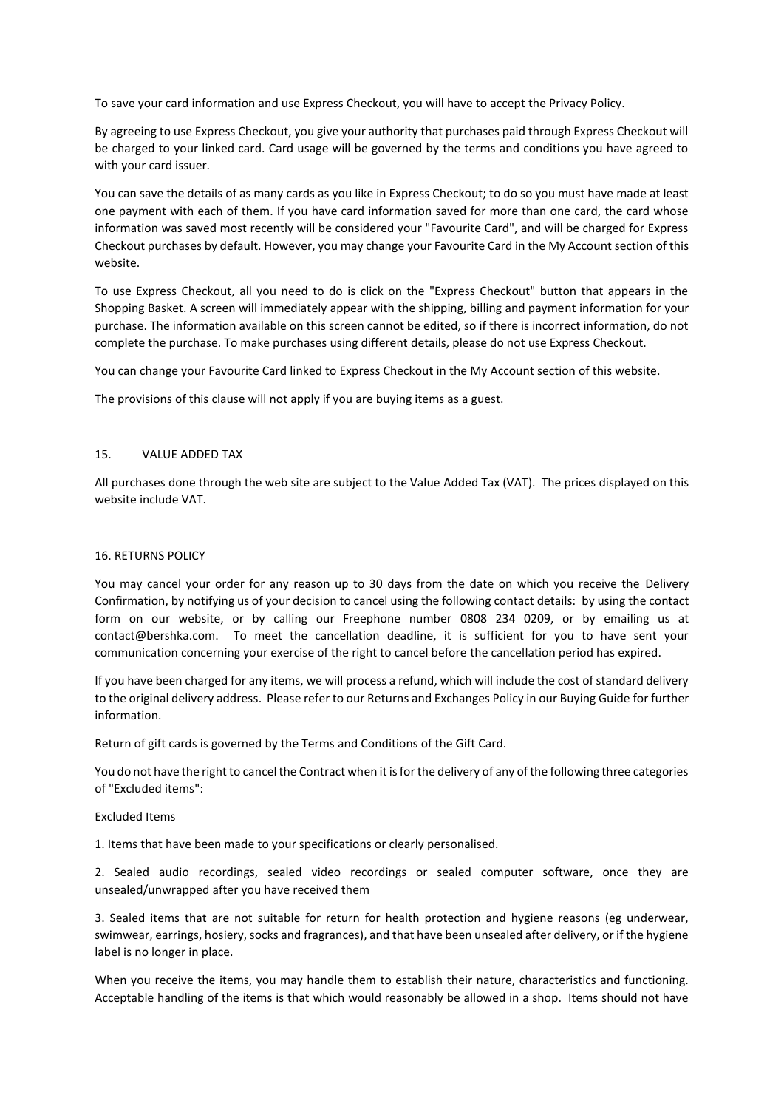To save your card information and use Express Checkout, you will have to accept the Privacy Policy.

By agreeing to use Express Checkout, you give your authority that purchases paid through Express Checkout will be charged to your linked card. Card usage will be governed by the terms and conditions you have agreed to with your card issuer.

You can save the details of as many cards as you like in Express Checkout; to do so you must have made at least one payment with each of them. If you have card information saved for more than one card, the card whose information was saved most recently will be considered your "Favourite Card", and will be charged for Express Checkout purchases by default. However, you may change your Favourite Card in the My Account section of this website.

To use Express Checkout, all you need to do is click on the "Express Checkout" button that appears in the Shopping Basket. A screen will immediately appear with the shipping, billing and payment information for your purchase. The information available on this screen cannot be edited, so if there is incorrect information, do not complete the purchase. To make purchases using different details, please do not use Express Checkout.

You can change your Favourite Card linked to Express Checkout in the My Account section of this website.

The provisions of this clause will not apply if you are buying items as a guest.

## 15. VALUE ADDED TAX

All purchases done through the web site are subject to the Value Added Tax (VAT). The prices displayed on this website include VAT.

### 16. RETURNS POLICY

You may cancel your order for any reason up to 30 days from the date on which you receive the Delivery Confirmation, by notifying us of your decision to cancel using the following contact details: by using the contact form on our website, or by calling our Freephone number 0808 234 0209, or by emailing us at contact@bershka.com. To meet the cancellation deadline, it is sufficient for you to have sent your communication concerning your exercise of the right to cancel before the cancellation period has expired.

If you have been charged for any items, we will process a refund, which will include the cost of standard delivery to the original delivery address. Please refer to our Returns and Exchanges Policy in our Buying Guide for further information.

Return of gift cards is governed by the Terms and Conditions of the Gift Card.

You do not have the right to cancel the Contract when it is for the delivery of any of the following three categories of "Excluded items":

#### Excluded Items

1. Items that have been made to your specifications or clearly personalised.

2. Sealed audio recordings, sealed video recordings or sealed computer software, once they are unsealed/unwrapped after you have received them

3. Sealed items that are not suitable for return for health protection and hygiene reasons (eg underwear, swimwear, earrings, hosiery, socks and fragrances), and that have been unsealed after delivery, or if the hygiene label is no longer in place.

When you receive the items, you may handle them to establish their nature, characteristics and functioning. Acceptable handling of the items is that which would reasonably be allowed in a shop. Items should not have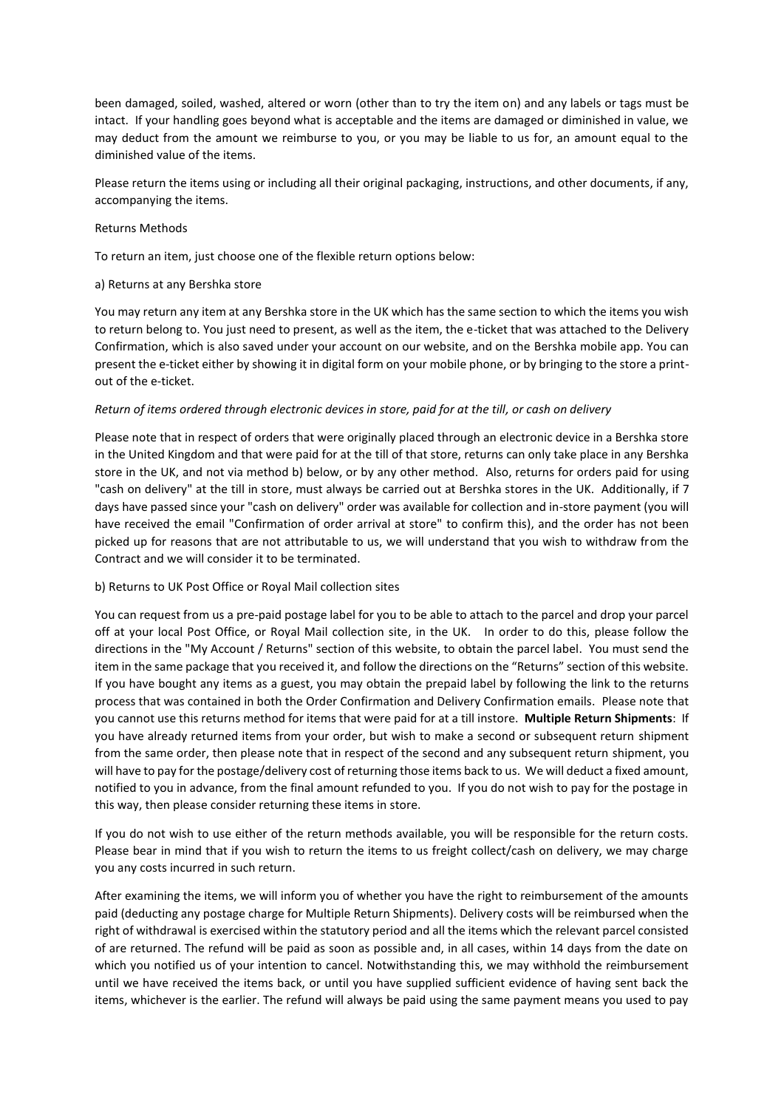been damaged, soiled, washed, altered or worn (other than to try the item on) and any labels or tags must be intact. If your handling goes beyond what is acceptable and the items are damaged or diminished in value, we may deduct from the amount we reimburse to you, or you may be liable to us for, an amount equal to the diminished value of the items.

Please return the items using or including all their original packaging, instructions, and other documents, if any, accompanying the items.

# Returns Methods

To return an item, just choose one of the flexible return options below:

## a) Returns at any Bershka store

You may return any item at any Bershka store in the UK which has the same section to which the items you wish to return belong to. You just need to present, as well as the item, the e-ticket that was attached to the Delivery Confirmation, which is also saved under your account on our website, and on the Bershka mobile app. You can present the e-ticket either by showing it in digital form on your mobile phone, or by bringing to the store a printout of the e-ticket.

# *Return of items ordered through electronic devices in store, paid for at the till, or cash on delivery*

Please note that in respect of orders that were originally placed through an electronic device in a Bershka store in the United Kingdom and that were paid for at the till of that store, returns can only take place in any Bershka store in the UK, and not via method b) below, or by any other method. Also, returns for orders paid for using "cash on delivery" at the till in store, must always be carried out at Bershka stores in the UK. Additionally, if 7 days have passed since your "cash on delivery" order was available for collection and in-store payment (you will have received the email "Confirmation of order arrival at store" to confirm this), and the order has not been picked up for reasons that are not attributable to us, we will understand that you wish to withdraw from the Contract and we will consider it to be terminated.

# b) Returns to UK Post Office or Royal Mail collection sites

You can request from us a pre-paid postage label for you to be able to attach to the parcel and drop your parcel off at your local Post Office, or Royal Mail collection site, in the UK. In order to do this, please follow the directions in the "My Account / Returns" section of this website, to obtain the parcel label. You must send the item in the same package that you received it, and follow the directions on the "Returns" section of this website. If you have bought any items as a guest, you may obtain the prepaid label by following the link to the returns process that was contained in both the Order Confirmation and Delivery Confirmation emails. Please note that you cannot use this returns method for items that were paid for at a till instore. **Multiple Return Shipments**: If you have already returned items from your order, but wish to make a second or subsequent return shipment from the same order, then please note that in respect of the second and any subsequent return shipment, you will have to pay for the postage/delivery cost of returning those items back to us. We will deduct a fixed amount, notified to you in advance, from the final amount refunded to you. If you do not wish to pay for the postage in this way, then please consider returning these items in store.

If you do not wish to use either of the return methods available, you will be responsible for the return costs. Please bear in mind that if you wish to return the items to us freight collect/cash on delivery, we may charge you any costs incurred in such return.

After examining the items, we will inform you of whether you have the right to reimbursement of the amounts paid (deducting any postage charge for Multiple Return Shipments). Delivery costs will be reimbursed when the right of withdrawal is exercised within the statutory period and all the items which the relevant parcel consisted of are returned. The refund will be paid as soon as possible and, in all cases, within 14 days from the date on which you notified us of your intention to cancel. Notwithstanding this, we may withhold the reimbursement until we have received the items back, or until you have supplied sufficient evidence of having sent back the items, whichever is the earlier. The refund will always be paid using the same payment means you used to pay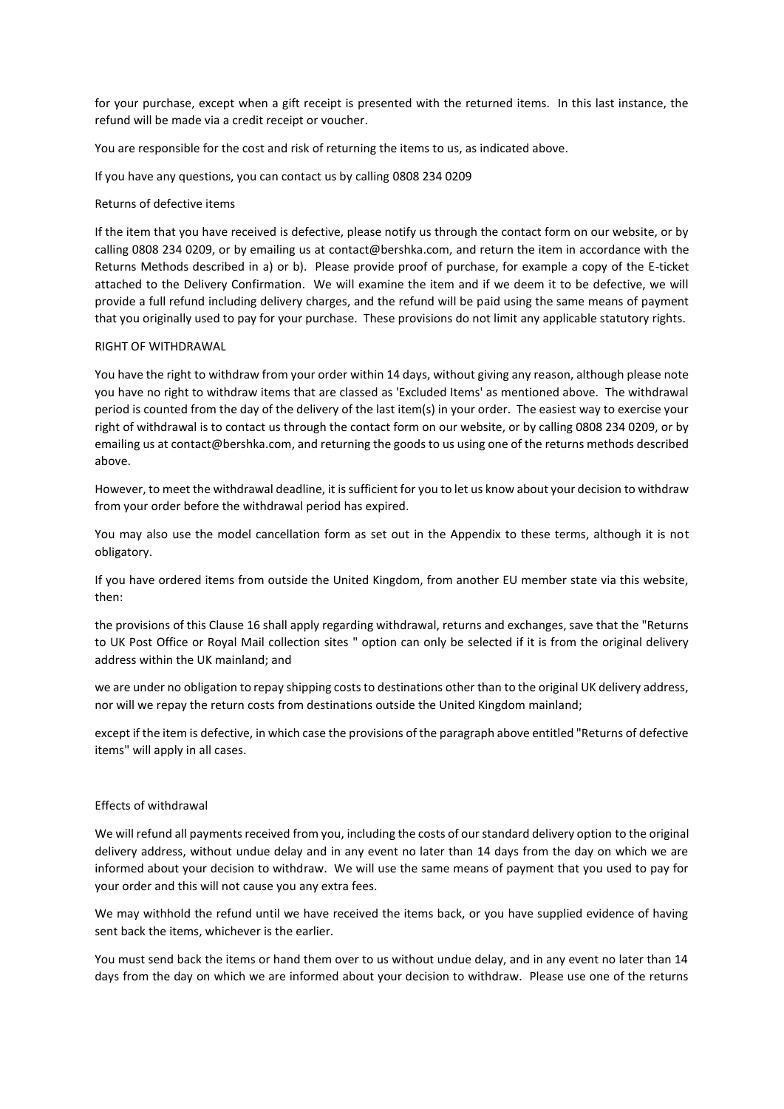for your purchase, except when a gift receipt is presented with the returned items. In this last instance, the refund will be made via a credit receipt or voucher.

You are responsible for the cost and risk of returning the items to us, as indicated above.

If you have any questions, you can contact us by calling 0808 234 0209

#### Returns of defective items

If the item that you have received is defective, please notify us through the contact form on our website, or by calling 0808 234 0209, or by emailing us at contact@bershka.com, and return the item in accordance with the Returns Methods described in a) or b). Please provide proof of purchase, for example a copy of the E-ticket attached to the Delivery Confirmation. We will examine the item and if we deem it to be defective, we will provide a full refund including delivery charges, and the refund will be paid using the same means of payment that you originally used to pay for your purchase. These provisions do not limit any applicable statutory rights.

### RIGHT OF WITHDRAWAL

You have the right to withdraw from your order within 14 days, without giving any reason, although please note you have no right to withdraw items that are classed as 'Excluded Items' as mentioned above. The withdrawal period is counted from the day of the delivery of the last item(s) in your order. The easiest way to exercise your right of withdrawal is to contact us through the contact form on our website, or by calling 0808 234 0209, or by emailing us at contact@bershka.com, and returning the goods to us using one of the returns methods described above.

However, to meet the withdrawal deadline, it is sufficient for you to let us know about your decision to withdraw from your order before the withdrawal period has expired.

You may also use the model cancellation form as set out in the Appendix to these terms, although it is not obligatory.

If you have ordered items from outside the United Kingdom, from another EU member state via this website, then:

the provisions of this Clause 16 shall apply regarding withdrawal, returns and exchanges, save that the "Returns to UK Post Office or Royal Mail collection sites " option can only be selected if it is from the original delivery address within the UK mainland; and

we are under no obligation to repay shipping costs to destinations other than to the original UK delivery address, nor will we repay the return costs from destinations outside the United Kingdom mainland;

except if the item is defective, in which case the provisions of the paragraph above entitled "Returns of defective items" will apply in all cases.

#### Effects of withdrawal

We will refund all payments received from you, including the costs of our standard delivery option to the original delivery address, without undue delay and in any event no later than 14 days from the day on which we are informed about your decision to withdraw. We will use the same means of payment that you used to pay for your order and this will not cause you any extra fees.

We may withhold the refund until we have received the items back, or you have supplied evidence of having sent back the items, whichever is the earlier.

You must send back the items or hand them over to us without undue delay, and in any event no later than 14 days from the day on which we are informed about your decision to withdraw. Please use one of the returns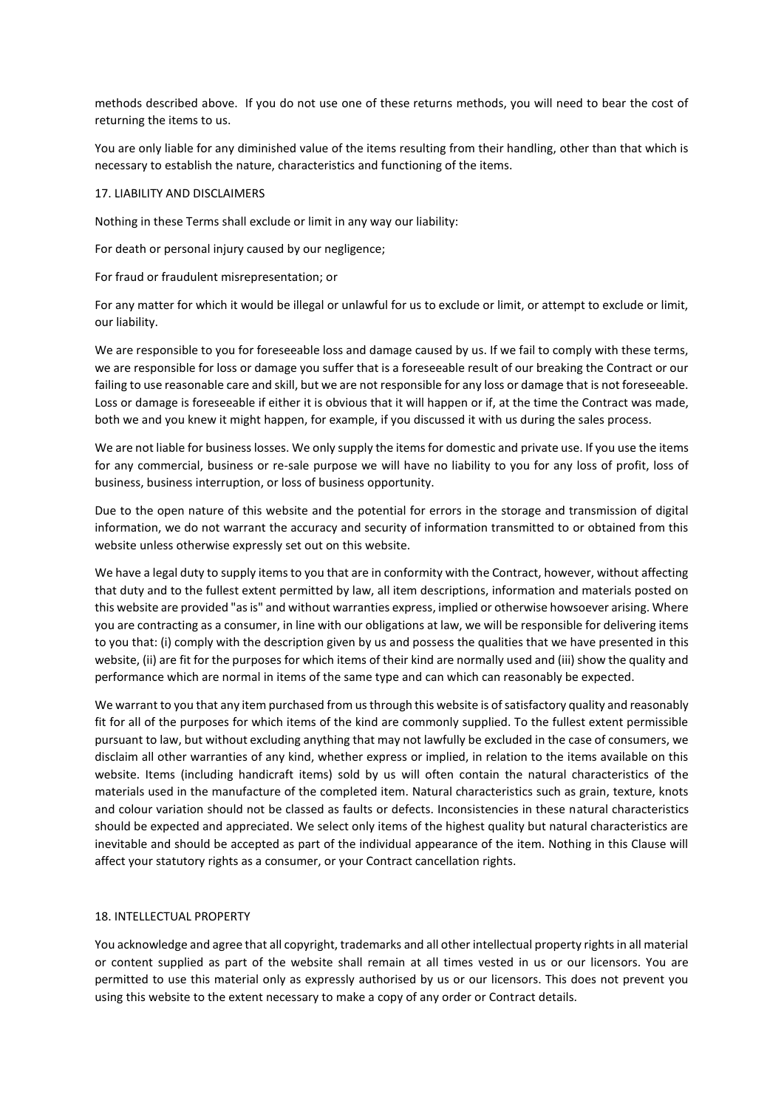methods described above. If you do not use one of these returns methods, you will need to bear the cost of returning the items to us.

You are only liable for any diminished value of the items resulting from their handling, other than that which is necessary to establish the nature, characteristics and functioning of the items.

## 17. LIABILITY AND DISCLAIMERS

Nothing in these Terms shall exclude or limit in any way our liability:

For death or personal injury caused by our negligence;

For fraud or fraudulent misrepresentation; or

For any matter for which it would be illegal or unlawful for us to exclude or limit, or attempt to exclude or limit, our liability.

We are responsible to you for foreseeable loss and damage caused by us. If we fail to comply with these terms, we are responsible for loss or damage you suffer that is a foreseeable result of our breaking the Contract or our failing to use reasonable care and skill, but we are not responsible for any loss or damage that is not foreseeable. Loss or damage is foreseeable if either it is obvious that it will happen or if, at the time the Contract was made, both we and you knew it might happen, for example, if you discussed it with us during the sales process.

We are not liable for business losses. We only supply the items for domestic and private use. If you use the items for any commercial, business or re-sale purpose we will have no liability to you for any loss of profit, loss of business, business interruption, or loss of business opportunity.

Due to the open nature of this website and the potential for errors in the storage and transmission of digital information, we do not warrant the accuracy and security of information transmitted to or obtained from this website unless otherwise expressly set out on this website.

We have a legal duty to supply items to you that are in conformity with the Contract, however, without affecting that duty and to the fullest extent permitted by law, all item descriptions, information and materials posted on this website are provided "as is" and without warranties express, implied or otherwise howsoever arising. Where you are contracting as a consumer, in line with our obligations at law, we will be responsible for delivering items to you that: (i) comply with the description given by us and possess the qualities that we have presented in this website, (ii) are fit for the purposes for which items of their kind are normally used and (iii) show the quality and performance which are normal in items of the same type and can which can reasonably be expected.

We warrant to you that any item purchased from us through this website is of satisfactory quality and reasonably fit for all of the purposes for which items of the kind are commonly supplied. To the fullest extent permissible pursuant to law, but without excluding anything that may not lawfully be excluded in the case of consumers, we disclaim all other warranties of any kind, whether express or implied, in relation to the items available on this website. Items (including handicraft items) sold by us will often contain the natural characteristics of the materials used in the manufacture of the completed item. Natural characteristics such as grain, texture, knots and colour variation should not be classed as faults or defects. Inconsistencies in these natural characteristics should be expected and appreciated. We select only items of the highest quality but natural characteristics are inevitable and should be accepted as part of the individual appearance of the item. Nothing in this Clause will affect your statutory rights as a consumer, or your Contract cancellation rights.

## 18. INTELLECTUAL PROPERTY

You acknowledge and agree that all copyright, trademarks and all other intellectual property rights in all material or content supplied as part of the website shall remain at all times vested in us or our licensors. You are permitted to use this material only as expressly authorised by us or our licensors. This does not prevent you using this website to the extent necessary to make a copy of any order or Contract details.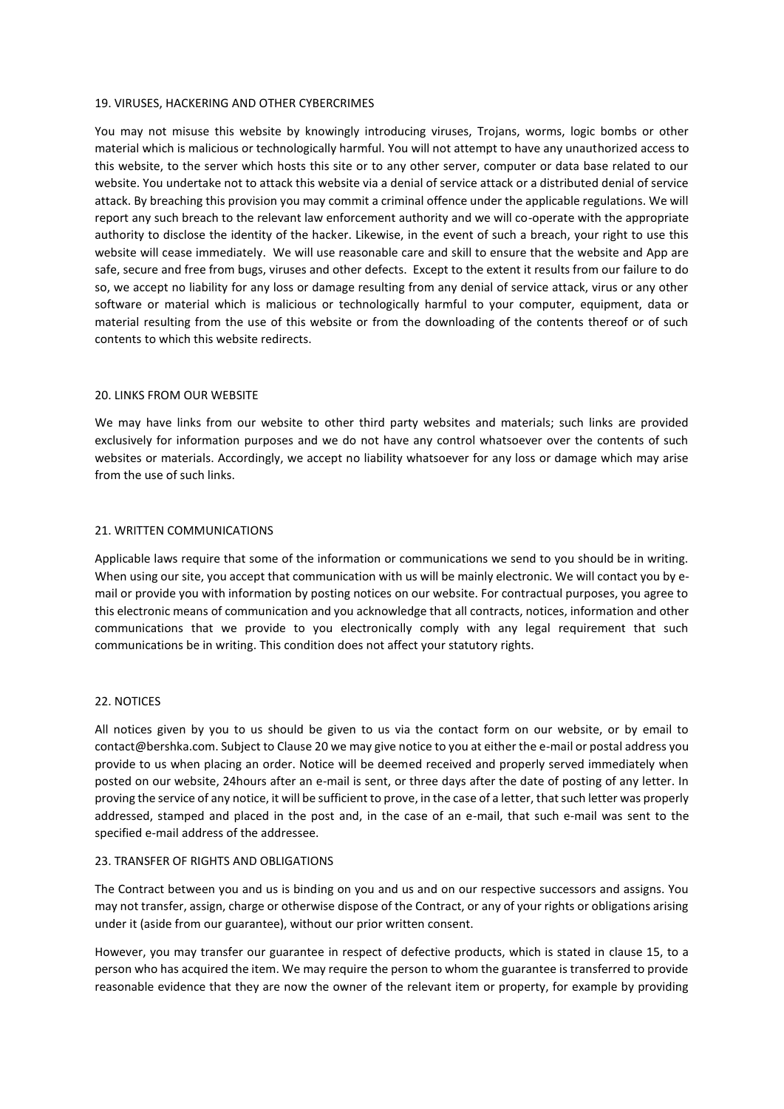#### 19. VIRUSES, HACKERING AND OTHER CYBERCRIMES

You may not misuse this website by knowingly introducing viruses, Trojans, worms, logic bombs or other material which is malicious or technologically harmful. You will not attempt to have any unauthorized access to this website, to the server which hosts this site or to any other server, computer or data base related to our website. You undertake not to attack this website via a denial of service attack or a distributed denial of service attack. By breaching this provision you may commit a criminal offence under the applicable regulations. We will report any such breach to the relevant law enforcement authority and we will co-operate with the appropriate authority to disclose the identity of the hacker. Likewise, in the event of such a breach, your right to use this website will cease immediately. We will use reasonable care and skill to ensure that the website and App are safe, secure and free from bugs, viruses and other defects. Except to the extent it results from our failure to do so, we accept no liability for any loss or damage resulting from any denial of service attack, virus or any other software or material which is malicious or technologically harmful to your computer, equipment, data or material resulting from the use of this website or from the downloading of the contents thereof or of such contents to which this website redirects.

### 20. LINKS FROM OUR WEBSITE

We may have links from our website to other third party websites and materials; such links are provided exclusively for information purposes and we do not have any control whatsoever over the contents of such websites or materials. Accordingly, we accept no liability whatsoever for any loss or damage which may arise from the use of such links.

### 21. WRITTEN COMMUNICATIONS

Applicable laws require that some of the information or communications we send to you should be in writing. When using our site, you accept that communication with us will be mainly electronic. We will contact you by email or provide you with information by posting notices on our website. For contractual purposes, you agree to this electronic means of communication and you acknowledge that all contracts, notices, information and other communications that we provide to you electronically comply with any legal requirement that such communications be in writing. This condition does not affect your statutory rights.

### 22. NOTICES

All notices given by you to us should be given to us via the contact form on our website, or by email to contact@bershka.com. Subject to Clause 20 we may give notice to you at either the e-mail or postal address you provide to us when placing an order. Notice will be deemed received and properly served immediately when posted on our website, 24hours after an e-mail is sent, or three days after the date of posting of any letter. In proving the service of any notice, it will be sufficient to prove, in the case of a letter, that such letter was properly addressed, stamped and placed in the post and, in the case of an e-mail, that such e-mail was sent to the specified e-mail address of the addressee.

#### 23. TRANSFER OF RIGHTS AND OBLIGATIONS

The Contract between you and us is binding on you and us and on our respective successors and assigns. You may not transfer, assign, charge or otherwise dispose of the Contract, or any of your rights or obligations arising under it (aside from our guarantee), without our prior written consent.

However, you may transfer our guarantee in respect of defective products, which is stated in clause 15, to a person who has acquired the item. We may require the person to whom the guarantee is transferred to provide reasonable evidence that they are now the owner of the relevant item or property, for example by providing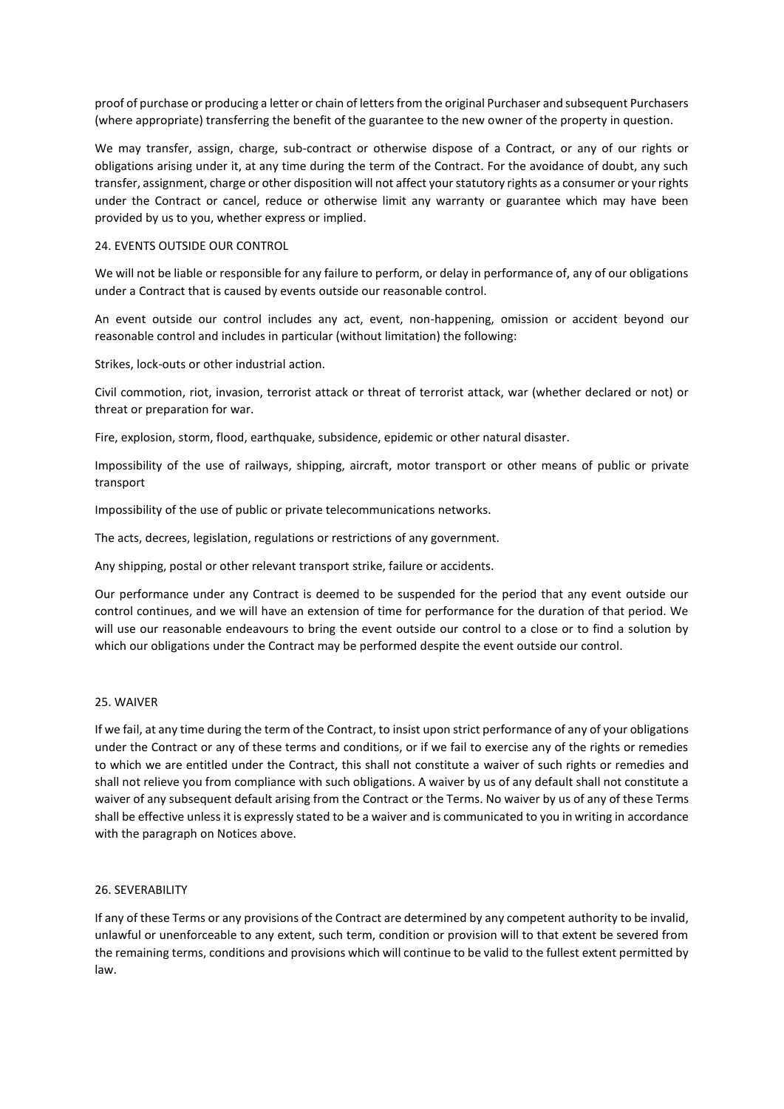proof of purchase or producing a letter or chain of letters from the original Purchaser and subsequent Purchasers (where appropriate) transferring the benefit of the guarantee to the new owner of the property in question.

We may transfer, assign, charge, sub-contract or otherwise dispose of a Contract, or any of our rights or obligations arising under it, at any time during the term of the Contract. For the avoidance of doubt, any such transfer, assignment, charge or other disposition will not affect your statutory rights as a consumer or your rights under the Contract or cancel, reduce or otherwise limit any warranty or guarantee which may have been provided by us to you, whether express or implied.

# 24. EVENTS OUTSIDE OUR CONTROL

We will not be liable or responsible for any failure to perform, or delay in performance of, any of our obligations under a Contract that is caused by events outside our reasonable control.

An event outside our control includes any act, event, non-happening, omission or accident beyond our reasonable control and includes in particular (without limitation) the following:

Strikes, lock-outs or other industrial action.

Civil commotion, riot, invasion, terrorist attack or threat of terrorist attack, war (whether declared or not) or threat or preparation for war.

Fire, explosion, storm, flood, earthquake, subsidence, epidemic or other natural disaster.

Impossibility of the use of railways, shipping, aircraft, motor transport or other means of public or private transport

Impossibility of the use of public or private telecommunications networks.

The acts, decrees, legislation, regulations or restrictions of any government.

Any shipping, postal or other relevant transport strike, failure or accidents.

Our performance under any Contract is deemed to be suspended for the period that any event outside our control continues, and we will have an extension of time for performance for the duration of that period. We will use our reasonable endeavours to bring the event outside our control to a close or to find a solution by which our obligations under the Contract may be performed despite the event outside our control.

#### 25. WAIVER

If we fail, at any time during the term of the Contract, to insist upon strict performance of any of your obligations under the Contract or any of these terms and conditions, or if we fail to exercise any of the rights or remedies to which we are entitled under the Contract, this shall not constitute a waiver of such rights or remedies and shall not relieve you from compliance with such obligations. A waiver by us of any default shall not constitute a waiver of any subsequent default arising from the Contract or the Terms. No waiver by us of any of these Terms shall be effective unless it is expressly stated to be a waiver and is communicated to you in writing in accordance with the paragraph on Notices above.

# 26. SEVERABILITY

If any of these Terms or any provisions of the Contract are determined by any competent authority to be invalid, unlawful or unenforceable to any extent, such term, condition or provision will to that extent be severed from the remaining terms, conditions and provisions which will continue to be valid to the fullest extent permitted by law.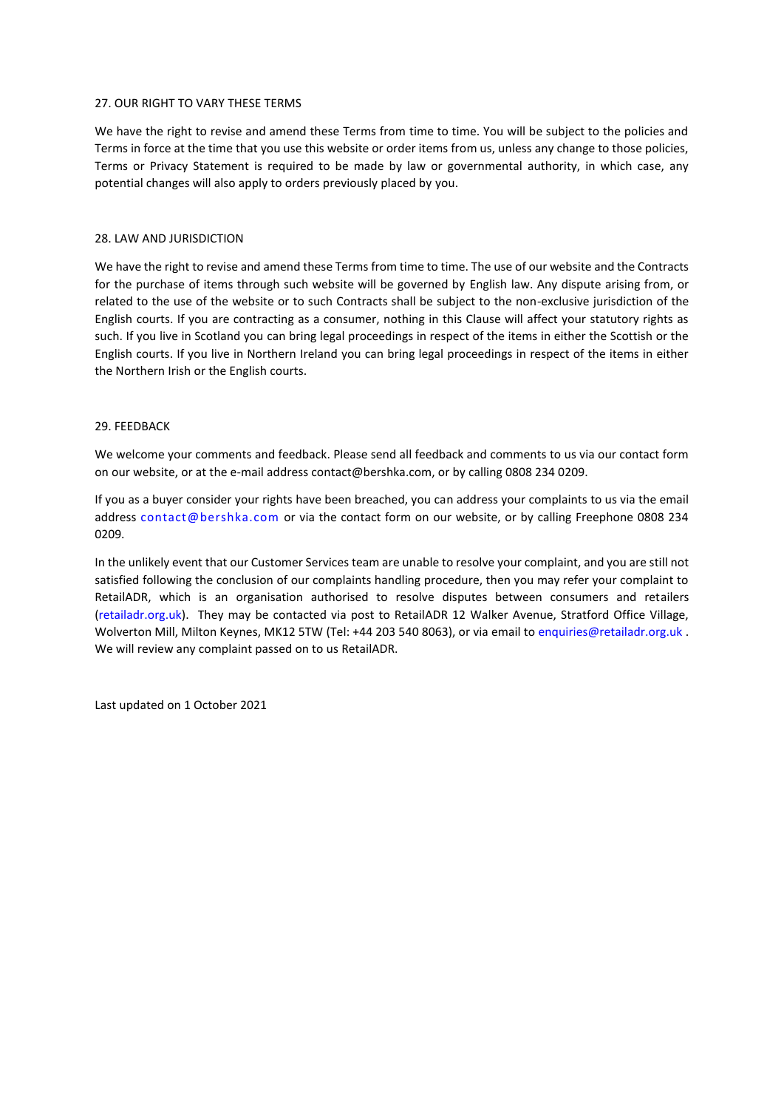### 27. OUR RIGHT TO VARY THESE TERMS

We have the right to revise and amend these Terms from time to time. You will be subject to the policies and Terms in force at the time that you use this website or order items from us, unless any change to those policies, Terms or Privacy Statement is required to be made by law or governmental authority, in which case, any potential changes will also apply to orders previously placed by you.

### 28. LAW AND JURISDICTION

We have the right to revise and amend these Terms from time to time. The use of our website and the Contracts for the purchase of items through such website will be governed by English law. Any dispute arising from, or related to the use of the website or to such Contracts shall be subject to the non-exclusive jurisdiction of the English courts. If you are contracting as a consumer, nothing in this Clause will affect your statutory rights as such. If you live in Scotland you can bring legal proceedings in respect of the items in either the Scottish or the English courts. If you live in Northern Ireland you can bring legal proceedings in respect of the items in either the Northern Irish or the English courts.

# 29. FEEDBACK

We welcome your comments and feedback. Please send all feedback and comments to us via our contact form on our website, or at the e-mail address contact@bershka.com, or by calling 0808 234 0209.

If you as a buyer consider your rights have been breached, you can address your complaints to us via the email address [contact@bershka.com](mailto:contact@bershka.com) or via the contact form on our website, or by calling Freephone 0808 234 0209.

In the unlikely event that our Customer Services team are unable to resolve your complaint, and you are still not satisfied following the conclusion of our complaints handling procedure, then you may refer your complaint to RetailADR, which is an organisation authorised to resolve disputes between consumers and retailers [\(retailadr.org.uk\)](http://www.theretailombudsman.org.uk/). They may be contacted via post to RetailADR 12 Walker Avenue, Stratford Office Village, Wolverton Mill, Milton Keynes, MK12 5TW (Tel: +44 203 540 8063), or via email to [enquiries@retailadr.org.uk](mailto:enquiries@retailadr.org.uk) . We will review any complaint passed on to us RetailADR.

Last updated on 1 October 2021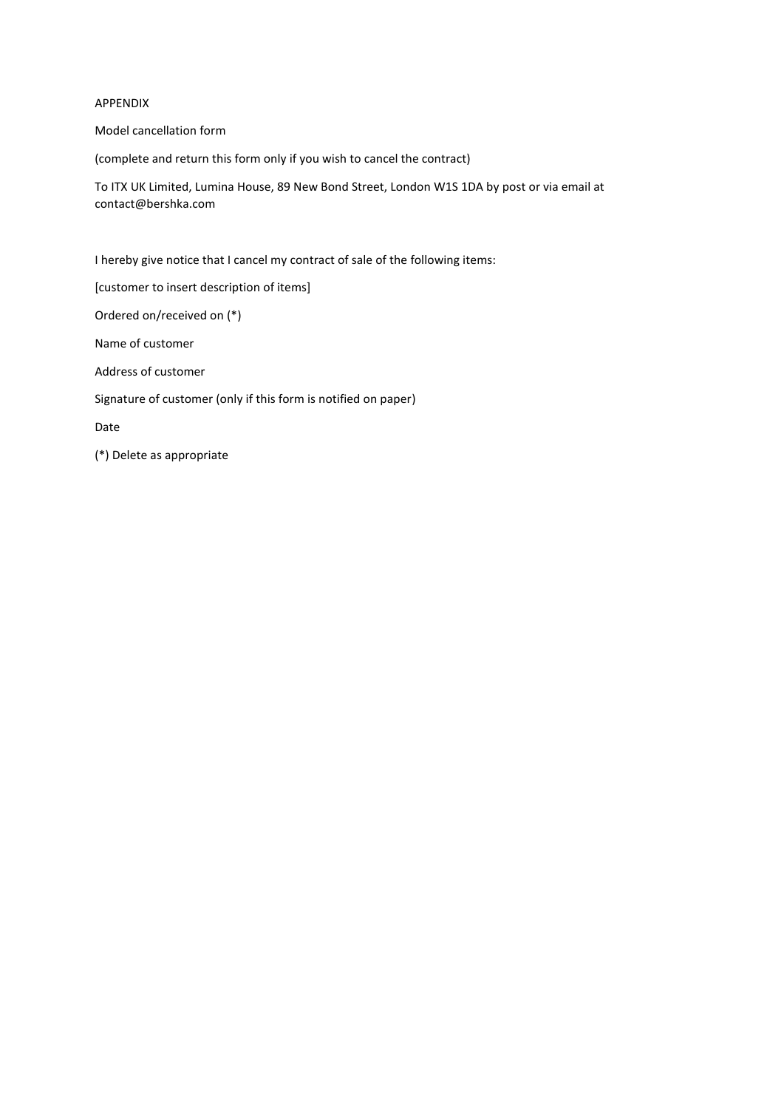# APPENDIX

Model cancellation form

(complete and return this form only if you wish to cancel the contract)

To ITX UK Limited, Lumina House, 89 New Bond Street, London W1S 1DA by post or via email at contact@bershka.com

I hereby give notice that I cancel my contract of sale of the following items:

[customer to insert description of items]

Ordered on/received on (\*)

Name of customer

Address of customer

Signature of customer (only if this form is notified on paper)

Date

(\*) Delete as appropriate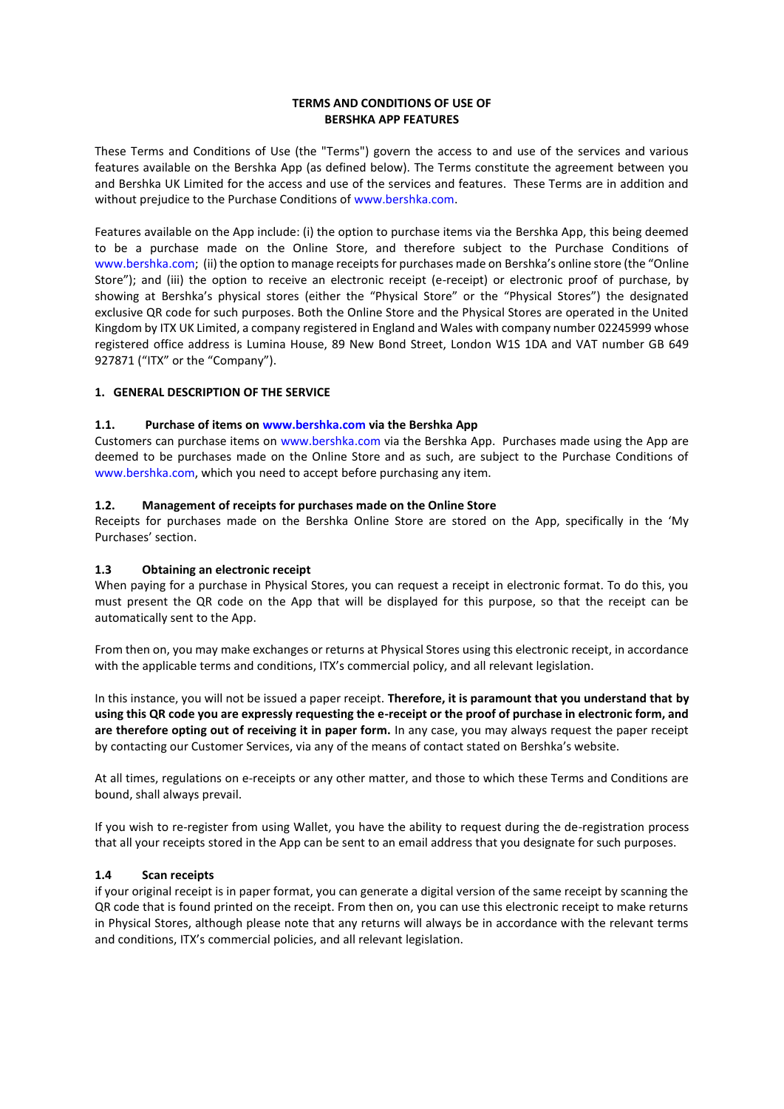# **TERMS AND CONDITIONS OF USE OF BERSHKA APP FEATURES**

These Terms and Conditions of Use (the "Terms") govern the access to and use of the services and various features available on the Bershka App (as defined below). The Terms constitute the agreement between you and Bershka UK Limited for the access and use of the services and features. These Terms are in addition and without prejudice to the Purchase Conditions of [www.bershka.com.](http://www.bershka.com/)

Features available on the App include: (i) the option to purchase items via the Bershka App, this being deemed to be a purchase made on the Online Store, and therefore subject to the Purchase Conditions of [www.bershka.com;](http://www.bershka.com/) (ii) the option to manage receipts for purchases made on Bershka's online store (the "Online Store"); and (iii) the option to receive an electronic receipt (e-receipt) or electronic proof of purchase, by showing at Bershka's physical stores (either the "Physical Store" or the "Physical Stores") the designated exclusive QR code for such purposes. Both the Online Store and the Physical Stores are operated in the United Kingdom by ITX UK Limited, a company registered in England and Wales with company number 02245999 whose registered office address is Lumina House, 89 New Bond Street, London W1S 1DA and VAT number GB 649 927871 ("ITX" or the "Company").

# **1. GENERAL DESCRIPTION OF THE SERVICE**

# **1.1. Purchase of items o[n www.bershka.com](http://www.bershka.com/) via the Bershka App**

Customers can purchase items on [www.bershka.com](http://www.bershka.com/) via the Bershka App. Purchases made using the App are deemed to be purchases made on the Online Store and as such, are subject to the Purchase Conditions of [www.bershka.com,](http://www.bershka.com/) which you need to accept before purchasing any item.

# **1.2. Management of receipts for purchases made on the Online Store**

Receipts for purchases made on the Bershka Online Store are stored on the App, specifically in the 'My Purchases' section.

# **1.3 Obtaining an electronic receipt**

When paying for a purchase in Physical Stores, you can request a receipt in electronic format. To do this, you must present the QR code on the App that will be displayed for this purpose, so that the receipt can be automatically sent to the App.

From then on, you may make exchanges or returns at Physical Stores using this electronic receipt, in accordance with the applicable terms and conditions, ITX's commercial policy, and all relevant legislation.

In this instance, you will not be issued a paper receipt. **Therefore, it is paramount that you understand that by using this QR code you are expressly requesting the e-receipt or the proof of purchase in electronic form, and are therefore opting out of receiving it in paper form.** In any case, you may always request the paper receipt by contacting our Customer Services, via any of the means of contact stated on Bershka's website.

At all times, regulations on e-receipts or any other matter, and those to which these Terms and Conditions are bound, shall always prevail.

If you wish to re-register from using Wallet, you have the ability to request during the de-registration process that all your receipts stored in the App can be sent to an email address that you designate for such purposes.

# **1.4 Scan receipts**

if your original receipt is in paper format, you can generate a digital version of the same receipt by scanning the QR code that is found printed on the receipt. From then on, you can use this electronic receipt to make returns in Physical Stores, although please note that any returns will always be in accordance with the relevant terms and conditions, ITX's commercial policies, and all relevant legislation.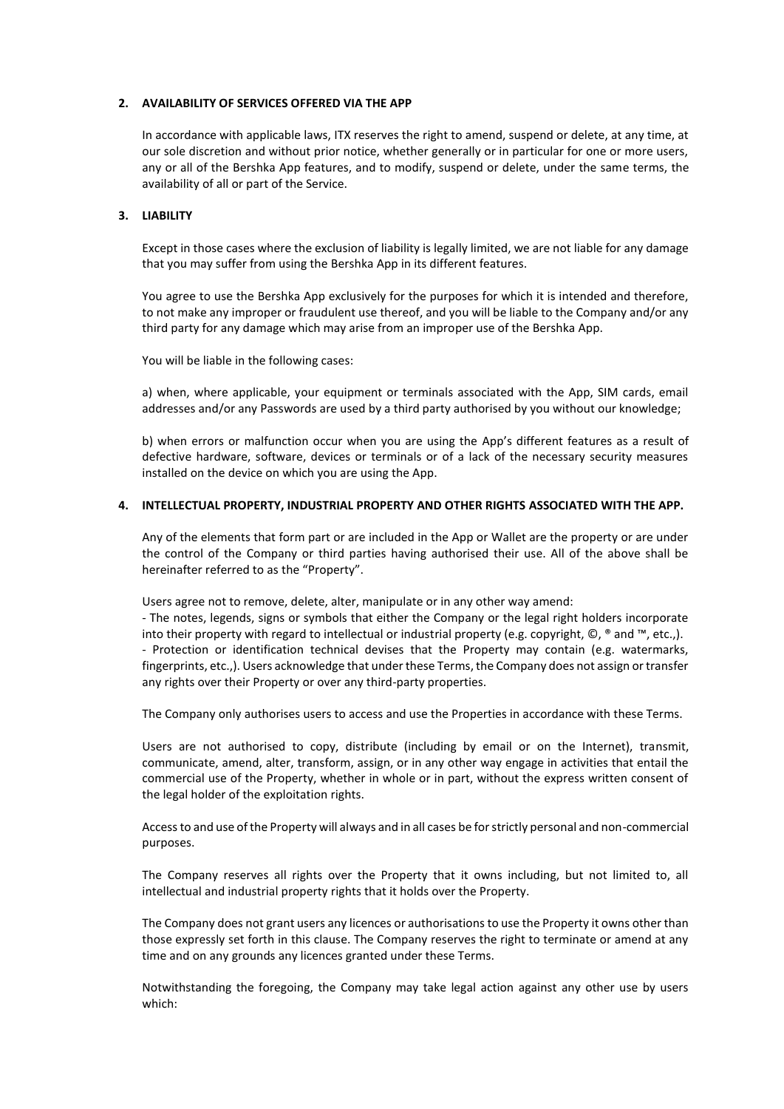#### **2. AVAILABILITY OF SERVICES OFFERED VIA THE APP**

In accordance with applicable laws, ITX reserves the right to amend, suspend or delete, at any time, at our sole discretion and without prior notice, whether generally or in particular for one or more users, any or all of the Bershka App features, and to modify, suspend or delete, under the same terms, the availability of all or part of the Service.

# **3. LIABILITY**

Except in those cases where the exclusion of liability is legally limited, we are not liable for any damage that you may suffer from using the Bershka App in its different features.

You agree to use the Bershka App exclusively for the purposes for which it is intended and therefore, to not make any improper or fraudulent use thereof, and you will be liable to the Company and/or any third party for any damage which may arise from an improper use of the Bershka App.

You will be liable in the following cases:

a) when, where applicable, your equipment or terminals associated with the App, SIM cards, email addresses and/or any Passwords are used by a third party authorised by you without our knowledge;

b) when errors or malfunction occur when you are using the App's different features as a result of defective hardware, software, devices or terminals or of a lack of the necessary security measures installed on the device on which you are using the App.

### **4. INTELLECTUAL PROPERTY, INDUSTRIAL PROPERTY AND OTHER RIGHTS ASSOCIATED WITH THE APP.**

Any of the elements that form part or are included in the App or Wallet are the property or are under the control of the Company or third parties having authorised their use. All of the above shall be hereinafter referred to as the "Property".

Users agree not to remove, delete, alter, manipulate or in any other way amend:

- The notes, legends, signs or symbols that either the Company or the legal right holders incorporate into their property with regard to intellectual or industrial property (e.g. copyright,  $\mathbb{O}$ , ® and ™, etc.,). - Protection or identification technical devises that the Property may contain (e.g. watermarks, fingerprints, etc.,). Users acknowledge that under these Terms, the Company does not assign or transfer any rights over their Property or over any third-party properties.

The Company only authorises users to access and use the Properties in accordance with these Terms.

Users are not authorised to copy, distribute (including by email or on the Internet), transmit, communicate, amend, alter, transform, assign, or in any other way engage in activities that entail the commercial use of the Property, whether in whole or in part, without the express written consent of the legal holder of the exploitation rights.

Access to and use of the Property will always and in all cases be for strictly personal and non-commercial purposes.

The Company reserves all rights over the Property that it owns including, but not limited to, all intellectual and industrial property rights that it holds over the Property.

The Company does not grant users any licences or authorisations to use the Property it owns other than those expressly set forth in this clause. The Company reserves the right to terminate or amend at any time and on any grounds any licences granted under these Terms.

Notwithstanding the foregoing, the Company may take legal action against any other use by users which: